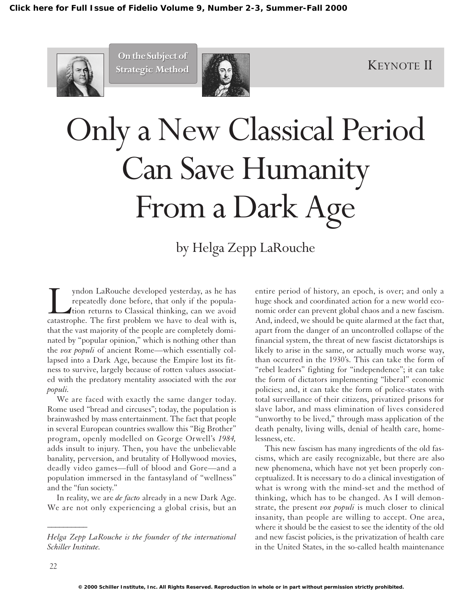

**On the Subject of**



# Only a New Classical Period Can Save Humanity From a Dark Age

# by Helga Zepp LaRouche

yndon LaRouche developed yesterday, as he has<br>repeatedly done before, that only if the popula-<br>tion returns to Classical thinking, can we avoid<br>catastrophe. The first problem we have to deal with is, repeatedly done before, that only if the population returns to Classical thinking, can we avoid catastrophe. The first problem we have to deal with is, that the vast majority of the people are completely dominated by "popular opinion," which is nothing other than the *vox populi* of ancient Rome—which essentially collapsed into a Dark Age, because the Empire lost its fitness to survive, largely because of rotten values associated with the predatory mentality associated with the *vox populi.*

We are faced with exactly the same danger today. Rome used "bread and circuses"; today, the population is brainwashed by mass entertainment. The fact that people in several European countries swallow this "Big Brother" program, openly modelled on George Orwell's *1984,* adds insult to injury. Then, you have the unbelievable banality, perversion, and brutality of Hollywood movies, deadly video games—full of blood and Gore—and a population immersed in the fantasyland of "wellness" and the "fun society."

In reality, we are *de facto* already in a new Dark Age. We are not only experiencing a global crisis, but an entire period of history, an epoch, is over; and only a huge shock and coordinated action for a new world economic order can prevent global chaos and a new fascism. And, indeed, we should be quite alarmed at the fact that, apart from the danger of an uncontrolled collapse of the financial system, the threat of new fascist dictatorships is likely to arise in the same, or actually much worse way, than occurred in the 1930's. This can take the form of "rebel leaders" fighting for "independence"; it can take the form of dictators implementing "liberal" economic policies; and, it can take the form of police-states with total surveillance of their citizens, privatized prisons for slave labor, and mass elimination of lives considered "unworthy to be lived," through mass application of the death penalty, living wills, denial of health care, homelessness, etc.

This new fascism has many ingredients of the old fascisms, which are easily recognizable, but there are also new phenomena, which have not yet been properly conceptualized. It is necessary to do a clinical investigation of what is wrong with the mind-set and the method of thinking, which has to be changed. As I will demonstrate, the present *vox populi* is much closer to clinical insanity, than people are willing to accept. One area, where it should be the easiest to see the identity of the old and new fascist policies, is the privatization of health care in the United States, in the so-called health maintenance

*\_\_\_\_\_\_\_\_\_\_*

*Helga Zepp LaRouche is the founder of the international Schiller Institute.*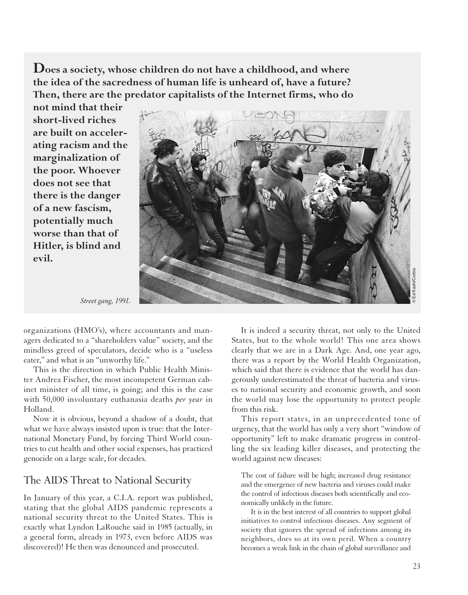**Does a society, whose children do not have a childhood, and where the idea of the sacredness of human life is unheard of, have a future? Then, there are the predator capitalists of the Internet firms, who do**

**not mind that their short-lived riches are built on accelerating racism and the marginalization of the poor. Whoever does not see that there is the danger of a new fascism, potentially much worse than that of Hitler, is blind and evil.**



*Street gang, 1991.*

organizations (HMO's), where accountants and managers dedicated to a "shareholders value" society, and the mindless greed of speculators, decide who is a "useless eater," and what is an "unworthy life."

This is the direction in which Public Health Minister Andrea Fischer, the most incompetent German cabinet minister of all time, is going; and this is the case with 50,000 involuntary euthanasia deaths *per year* in Holland.

Now it is obvious, beyond a shadow of a doubt, that what we have always insisted upon is true: that the International Monetary Fund, by forcing Third World countries to cut health and other social expenses, has practiced genocide on a large scale, for decades.

#### The AIDS Threat to National Security

In January of this year, a C.I.A. report was published, stating that the global AIDS pandemic represents a national security threat to the United States. This is exactly what Lyndon LaRouche said in 1985 (actually, in a general form, already in 1973, even before AIDS was discovered)! He then was denounced and prosecuted.

It is indeed a security threat, not only to the United States, but to the whole world! This one area shows clearly that we are in a Dark Age. And, one year ago, there was a report by the World Health Organization, which said that there is evidence that the world has dangerously underestimated the threat of bacteria and viruses to national security and economic growth, and soon the world may lose the opportunity to protect people from this risk.

This report states, in an unprecedented tone of urgency, that the world has only a very short "window of opportunity" left to make dramatic progress in controlling the six leading killer diseases, and protecting the world against new diseases:

The cost of failure will be high; increased drug resistance and the emergence of new bacteria and viruses could make the control of infectious diseases both scientifically and economically unlikely in the future.

It is in the best interest of all countries to support global initiatives to control infectious diseases. Any segment of society that ignores the spread of infections among its neighbors, does so at its own peril. When a country becomes a weak link in the chain of global surveillance and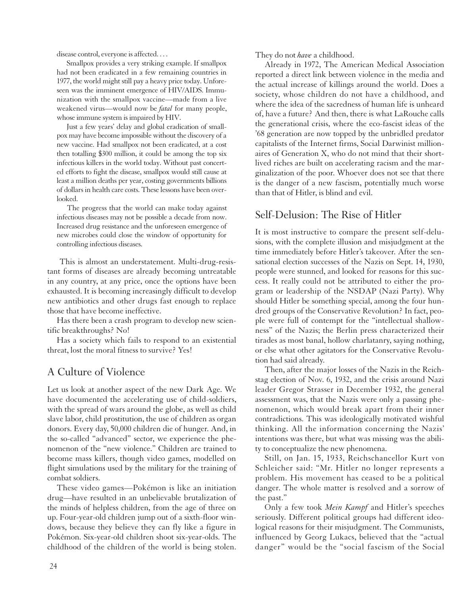disease control, everyone is affected. . . .

Smallpox provides a very striking example. If smallpox had not been eradicated in a few remaining countries in 1977, the world might still pay a heavy price today. Unforeseen was the imminent emergence of HIV/AIDS. Immunization with the smallpox vaccine—made from a live weakened virus—would now be *fatal* for many people, whose immune system is impaired by HIV.

Just a few years' delay and global eradication of smallpox may have become impossible without the discovery of a new vaccine. Had smallpox not been eradicated, at a cost then totalling \$300 million, it could be among the top six infectious killers in the world today. Without past concerted efforts to fight the disease, smallpox would still cause at least a million deaths per year, costing governments billions of dollars in health care costs. These lessons have been overlooked.

The progress that the world can make today against infectious diseases may not be possible a decade from now. Increased drug resistance and the unforeseen emergence of new microbes could close the window of opportunity for controlling infectious diseases.

This is almost an understatement. Multi-drug-resistant forms of diseases are already becoming untreatable in any country, at any price, once the options have been exhausted. It is becoming increasingly difficult to develop new antibiotics and other drugs fast enough to replace those that have become ineffective.

Has there been a crash program to develop new scientific breakthroughs? No!

Has a society which fails to respond to an existential threat, lost the moral fitness to survive? Yes!

# A Culture of Violence

Let us look at another aspect of the new Dark Age. We have documented the accelerating use of child-soldiers, with the spread of wars around the globe, as well as child slave labor, child prostitution, the use of children as organ donors. Every day, 50,000 children die of hunger. And, in the so-called "advanced" sector, we experience the phenomenon of the "new violence." Children are trained to become mass killers, though video games, modelled on flight simulations used by the military for the training of combat soldiers.

These video games—Pokémon is like an initiation drug—have resulted in an unbelievable brutalization of the minds of helpless children, from the age of three on up. Four-year-old children jump out of a sixth-floor windows, because they believe they can fly like a figure in Pokémon. Six-year-old children shoot six-year-olds. The childhood of the children of the world is being stolen. They do not *have* a childhood.

Already in 1972, The American Medical Association reported a direct link between violence in the media and the actual increase of killings around the world. Does a society, whose children do not have a childhood, and where the idea of the sacredness of human life is unheard of, have a future? And then, there is what LaRouche calls the generational crisis, where the eco-fascist ideas of the '68 generation are now topped by the unbridled predator capitalists of the Internet firms, Social Darwinist millionaires of Generation X, who do not mind that their shortlived riches are built on accelerating racism and the marginalization of the poor. Whoever does not see that there is the danger of a new fascism, potentially much worse than that of Hitler, is blind and evil.

# Self-Delusion: The Rise of Hitler

It is most instructive to compare the present self-delusions, with the complete illusion and misjudgment at the time immediately before Hitler's takeover. After the sensational election successes of the Nazis on Sept. 14, 1930, people were stunned, and looked for reasons for this success. It really could not be attributed to either the program or leadership of the NSDAP (Nazi Party). Why should Hitler be something special, among the four hundred groups of the Conservative Revolution? In fact, people were full of contempt for the "intellectual shallowness" of the Nazis; the Berlin press characterized their tirades as most banal, hollow charlatanry, saying nothing, or else what other agitators for the Conservative Revolution had said already.

Then, after the major losses of the Nazis in the Reichstag election of Nov. 6, 1932, and the crisis around Nazi leader Gregor Strasser in December 1932, the general assessment was, that the Nazis were only a passing phenomenon, which would break apart from their inner contradictions. This was ideologically motivated wishful thinking. All the information concerning the Nazis' intentions was there, but what was missing was the ability to conceptualize the new phenomena.

Still, on Jan. 15, 1933, Reichschancellor Kurt von Schleicher said: "Mr. Hitler no longer represents a problem. His movement has ceased to be a political danger. The whole matter is resolved and a sorrow of the past."

Only a few took *Mein Kampf* and Hitler's speeches seriously. Different political groups had different ideological reasons for their misjudgment. The Communists, influenced by Georg Lukacs, believed that the "actual danger" would be the "social fascism of the Social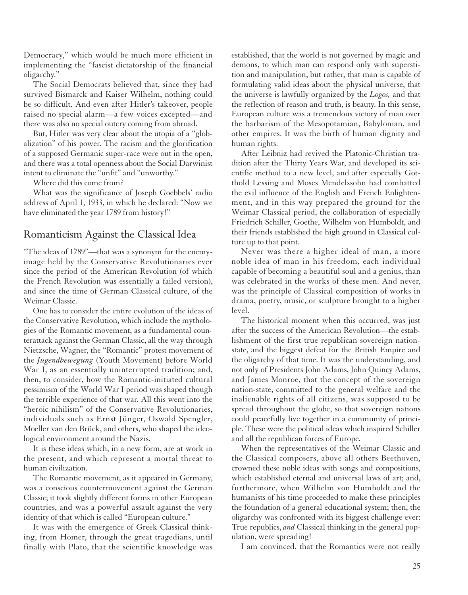Democracy," which would be much more efficient in implementing the "fascist dictatorship of the financial oligarchy."

The Social Democrats believed that, since they had survived Bismarck and Kaiser Wilhelm, nothing could be so difficult. And even after Hitler's takeover, people raised no special alarm—a few voices excepted—and there was also no special outcry coming from abroad.

But, Hitler was very clear about the utopia of a "globalization" of his power. The racism and the glorification of a supposed Germanic super-race were out in the open, and there was a total openness about the Social Darwinist intent to eliminate the "unfit" and "unworthy."

Where did this come from?

What was the significance of Joseph Goebbels' radio address of April 1, 1933, in which he declared: "Now we have eliminated the year 1789 from history!"

#### Romanticism Against the Classical Idea

"The ideas of 1789"—that was a synonym for the enemyimage held by the Conservative Revolutionaries ever since the period of the American Revolution (of which the French Revolution was essentially a failed version), and since the time of German Classical culture, of the Weimar Classic.

One has to consider the entire evolution of the ideas of the Conservative Revolution, which include the mythologies of the Romantic movement, as a fundamental counterattack against the German Classic, all the way through Nietzsche, Wagner, the "Romantic" protest movement of the *Jugendbewegung* (Youth Movement) before World War I, as an essentially uninterrupted tradition; and, then, to consider, how the Romantic-initiated cultural pessimism of the World War I period was shaped though the terrible experience of that war. All this went into the "heroic nihilism" of the Conservative Revolutionaries, individuals such as Ernst Jünger, Oswald Spengler, Moeller van den Brück, and others, who shaped the ideological environment around the Nazis.

It is these ideas which, in a new form, are at work in the present, and which represent a mortal threat to human civilization.

The Romantic movement, as it appeared in Germany, was a conscious countermovement against the German Classic; it took slightly different forms in other European countries, and was a powerful assault against the very identity of that which is called "European culture."

It was with the emergence of Greek Classical thinking, from Homer, through the great tragedians, until finally with Plato, that the scientific knowledge was established, that the world is not governed by magic and demons, to which man can respond only with superstition and manipulation, but rather, that man is capable of formulating valid ideas about the physical universe, that the universe is lawfully organized by the *Logos,* and that the reflection of reason and truth, is beauty. In this sense, European culture was a tremendous victory of man over the barbarism of the Mesopotamian, Babylonian, and other empires. It was the birth of human dignity and human rights.

After Leibniz had revived the Platonic-Christian tradition after the Thirty Years War, and developed its scientific method to a new level, and after especially Gotthold Lessing and Moses Mendelssohn had combatted the evil influence of the English and French Enlightenment, and in this way prepared the ground for the Weimar Classical period, the collaboration of especially Friedrich Schiller, Goethe, Wilhelm von Humboldt, and their friends established the high ground in Classical culture up to that point.

Never was there a higher ideal of man, a more noble idea of man in his freedom, each individual capable of becoming a beautiful soul and a genius, than was celebrated in the works of these men. And never, was the principle of Classical composition of works in drama, poetry, music, or sculpture brought to a higher level.

The historical moment when this occurred, was just after the success of the American Revolution—the establishment of the first true republican sovereign nationstate, and the biggest defeat for the British Empire and the oligarchy of that time. It was the understanding, and not only of Presidents John Adams, John Quincy Adams, and James Monroe, that the concept of the sovereign nation-state, committed to the general welfare and the inalienable rights of all citizens, was supposed to be spread throughout the globe, so that sovereign nations could peacefully live together in a community of principle. These were the political ideas which inspired Schiller and all the republican forces of Europe.

When the representatives of the Weimar Classic and the Classical composers, above all others Beethoven, crowned these noble ideas with songs and compositions, which established eternal and universal laws of art; and, furthermore, when Wilhelm von Humboldt and the humanists of his time proceeded to make these principles the foundation of a general educational system; then, the oligarchy was confronted with its biggest challenge ever: True republics, *and* Classical thinking in the general population, were spreading!

I am convinced, that the Romantics were not really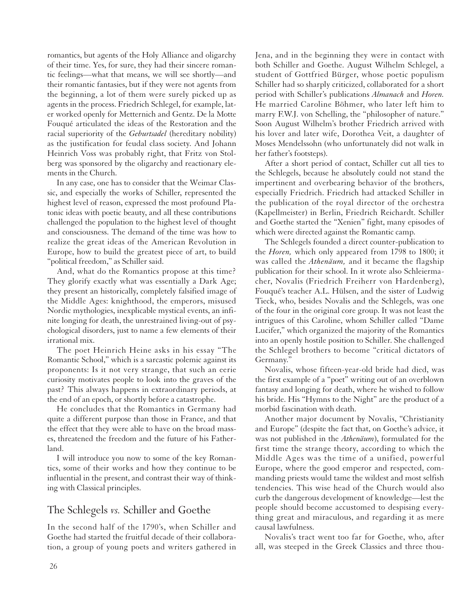romantics, but agents of the Holy Alliance and oligarchy of their time. Yes, for sure, they had their sincere romantic feelings—what that means, we will see shortly—and their romantic fantasies, but if they were not agents from the beginning, a lot of them were surely picked up as agents in the process. Friedrich Schlegel, for example, later worked openly for Metternich and Gentz. De la Motte Fouqué articulated the ideas of the Restoration and the racial superiority of the *Geburtsadel* (hereditary nobility) as the justification for feudal class society. And Johann Heinrich Voss was probably right, that Fritz von Stolberg was sponsored by the oligarchy and reactionary elements in the Church.

In any case, one has to consider that the Weimar Classic, and especially the works of Schiller, represented the highest level of reason, expressed the most profound Platonic ideas with poetic beauty, and all these contributions challenged the population to the highest level of thought and consciousness. The demand of the time was how to realize the great ideas of the American Revolution in Europe, how to build the greatest piece of art, to build "political freedom," as Schiller said.

And, what do the Romantics propose at this time? They glorify exactly what was essentially a Dark Age; they present an historically, completely falsified image of the Middle Ages: knighthood, the emperors, misused Nordic mythologies, inexplicable mystical events, an infinite longing for death, the unrestrained living-out of psychological disorders, just to name a few elements of their irrational mix.

The poet Heinrich Heine asks in his essay "The Romantic School," which is a sarcastic polemic against its proponents: Is it not very strange, that such an eerie curiosity motivates people to look into the graves of the past? This always happens in extraordinary periods, at the end of an epoch, or shortly before a catastrophe.

He concludes that the Romantics in Germany had quite a different purpose than those in France, and that the effect that they were able to have on the broad masses, threatened the freedom and the future of his Fatherland.

I will introduce you now to some of the key Romantics, some of their works and how they continue to be influential in the present, and contrast their way of thinking with Classical principles.

# The Schlegels *vs.* Schiller and Goethe

In the second half of the 1790's, when Schiller and Goethe had started the fruitful decade of their collaboration, a group of young poets and writers gathered in

Jena, and in the beginning they were in contact with both Schiller and Goethe. August Wilhelm Schlegel, a student of Gottfried Bürger, whose poetic populism Schiller had so sharply criticized, collaborated for a short period with Schiller's publications *Almanach* and *Horen.* He married Caroline Böhmer, who later left him to marry F.W.J. von Schelling, the "philosopher of nature." Soon August Wilhelm's brother Friedrich arrived with his lover and later wife, Dorothea Veit, a daughter of Moses Mendelssohn (who unfortunately did not walk in her father's footsteps).

After a short period of contact, Schiller cut all ties to the Schlegels, because he absolutely could not stand the impertinent and overbearing behavior of the brothers, especially Friedrich. Friedrich had attacked Schiller in the publication of the royal director of the orchestra (Kapellmeister) in Berlin, Friedrich Reichardt. Schiller and Goethe started the "Xenien" fight, many episodes of which were directed against the Romantic camp.

The Schlegels founded a direct counter-publication to the *Horen,* which only appeared from 1798 to 1800; it was called the *Athenäum,* and it became the flagship publication for their school. In it wrote also Schleiermacher, Novalis (Friedrich Freiherr von Hardenberg), Fouqué's teacher A.L. Hülsen, and the sister of Ludwig Tieck, who, besides Novalis and the Schlegels, was one of the four in the original core group. It was not least the intrigues of this Caroline, whom Schiller called "Dame Lucifer," which organized the majority of the Romantics into an openly hostile position to Schiller. She challenged the Schlegel brothers to become "critical dictators of Germany."

Novalis, whose fifteen-year-old bride had died, was the first example of a "poet" writing out of an overblown fantasy and longing for death, where he wished to follow his bride. His "Hymns to the Night" are the product of a morbid fascination with death.

Another major document by Novalis, "Christianity and Europe" (despite the fact that, on Goethe's advice, it was not published in the *Athenäum*), formulated for the first time the strange theory, according to which the Middle Ages was the time of a unified, powerful Europe, where the good emperor and respected, commanding priests would tame the wildest and most selfish tendencies. This wise head of the Church would also curb the dangerous development of knowledge—lest the people should become accustomed to despising everything great and miraculous, and regarding it as mere causal lawfulness.

Novalis's tract went too far for Goethe, who, after all, was steeped in the Greek Classics and three thou-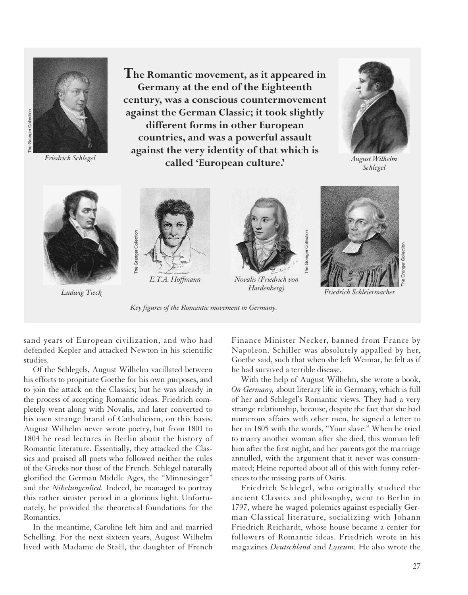

**The Romantic movement, as it appeared in Germany at the end of the Eighteenth century, was a conscious countermovement against the German Classic; it took slightly different forms in other European countries, and was a powerful assault against the very identity of that which is called 'European culture.'** *Friedrich Schlegel*



*August Wilhelm Schlegel*



*Ludwig Tieck*



*Key figures of the Romantic movement in Germany.*



*Novalis (Friedrich von Hardenberg)*



*Friedrich Schleiermacher*

sand years of European civilization, and who had defended Kepler and attacked Newton in his scientific studies.

Of the Schlegels, August Wilhelm vacillated between his efforts to propitiate Goethe for his own purposes, and to join the attack on the Classics; but he was already in the process of accepting Romantic ideas. Friedrich completely went along with Novalis, and later converted to his own strange brand of Catholicism, on this basis. August Wilhelm never wrote poetry, but from 1801 to 1804 he read lectures in Berlin about the history of Romantic literature. Essentially, they attacked the Classics and praised all poets who followed neither the rules of the Greeks nor those of the French. Schlegel naturally glorified the German Middle Ages, the "Minnesänger" and the *Nibelungenlied.* Indeed, he managed to portray this rather sinister period in a glorious light. Unfortunately, he provided the theoretical foundations for the Romantics.

In the meantime, Caroline left him and and married Schelling. For the next sixteen years, August Wilhelm lived with Madame de Staël, the daughter of French Finance Minister Necker, banned from France by Napoleon. Schiller was absolutely appalled by her, Goethe said, such that when she left Weimar, he felt as if he had survived a terrible disease.

The Granger Collection

The Granger Collection

With the help of August Wilhelm, she wrote a book, *On Germany,* about literary life in Germany, which is full of her and Schlegel's Romantic views. They had a very strange relationship, because, despite the fact that she had numerous affairs with other men, he signed a letter to her in 1805 with the words, "Your slave." When he tried to marry another woman after she died, this woman left him after the first night, and her parents got the marriage annulled, with the argument that it never was consummated; Heine reported about all of this with funny references to the missing parts of Osiris.

Friedrich Schlegel, who originally studied the ancient Classics and philosophy, went to Berlin in 1797, where he waged polemics against especially German Classical literature, socializing with Johann Friedrich Reichardt, whose house became a center for followers of Romantic ideas. Friedrich wrote in his magazines *Deutschland* and *Lyseum.* He also wrote the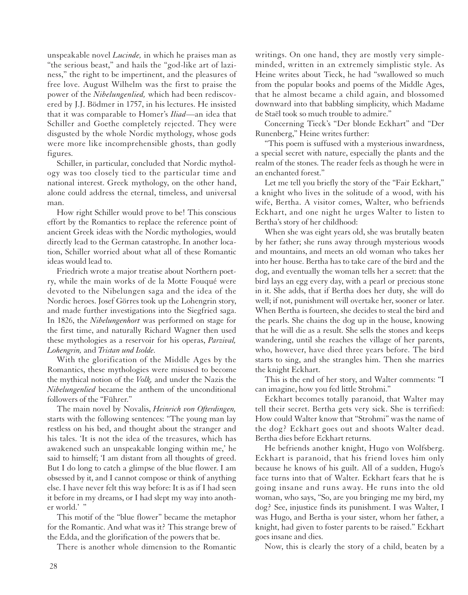unspeakable novel *Lucinde,* in which he praises man as "the serious beast," and hails the "god-like art of laziness," the right to be impertinent, and the pleasures of free love. August Wilhelm was the first to praise the power of the *Nibelungenlied,* which had been rediscovered by J.J. Bödmer in 1757, in his lectures. He insisted that it was comparable to Homer's *Iliad*—an idea that Schiller and Goethe completely rejected. They were disgusted by the whole Nordic mythology, whose gods were more like incomprehensible ghosts, than godly figures.

Schiller, in particular, concluded that Nordic mythology was too closely tied to the particular time and national interest. Greek mythology, on the other hand, alone could address the eternal, timeless, and universal man.

How right Schiller would prove to be! This conscious effort by the Romantics to replace the reference point of ancient Greek ideas with the Nordic mythologies, would directly lead to the German catastrophe. In another location, Schiller worried about what all of these Romantic ideas would lead to.

Friedrich wrote a major treatise about Northern poetry, while the main works of de la Motte Fouqué were devoted to the Nibelungen saga and the idea of the Nordic heroes. Josef Görres took up the Lohengrin story, and made further investigations into the Siegfried saga. In 1826, the *Nibelungenhort* was performed on stage for the first time, and naturally Richard Wagner then used these mythologies as a reservoir for his operas, *Parzival, Lohengrin,* and *Tristan und Isolde.*

With the glorification of the Middle Ages by the Romantics, these mythologies were misused to become the mythical notion of the *Volk,* and under the Nazis the *Nibelungenlied* became the anthem of the unconditional followers of the "Führer."

The main novel by Novalis, *Heinrich von Ofterdingen,* starts with the following sentences: "The young man lay restless on his bed, and thought about the stranger and his tales. 'It is not the idea of the treasures, which has awakened such an unspeakable longing within me,' he said to himself; 'I am distant from all thoughts of greed. But I do long to catch a glimpse of the blue flower. I am obsessed by it, and I cannot compose or think of anything else. I have never felt this way before: It is as if I had seen it before in my dreams, or I had slept my way into another world.'"

This motif of the "blue flower" became the metaphor for the Romantic. And what was it? This strange brew of the Edda, and the glorification of the powers that be.

There is another whole dimension to the Romantic

writings. On one hand, they are mostly very simpleminded, written in an extremely simplistic style. As Heine writes about Tieck, he had "swallowed so much from the popular books and poems of the Middle Ages, that he almost became a child again, and blossomed downward into that babbling simplicity, which Madame de Staël took so much trouble to admire."

Concerning Tieck's "Der blonde Eckhart" and "Der Runenberg," Heine writes further:

"This poem is suffused with a mysterious inwardness, a special secret with nature, especially the plants and the realm of the stones. The reader feels as though he were in an enchanted forest."

Let me tell you briefly the story of the "Fair Eckhart," a knight who lives in the solitude of a wood, with his wife, Bertha. A visitor comes, Walter, who befriends Eckhart, and one night he urges Walter to listen to Bertha's story of her childhood:

When she was eight years old, she was brutally beaten by her father; she runs away through mysterious woods and mountains, and meets an old woman who takes her into her house. Bertha has to take care of the bird and the dog, and eventually the woman tells her a secret: that the bird lays an egg every day, with a pearl or precious stone in it. She adds, that if Bertha does her duty, she will do well; if not, punishment will overtake her, sooner or later. When Bertha is fourteen, she decides to steal the bird and the pearls. She chains the dog up in the house, knowing that he will die as a result. She sells the stones and keeps wandering, until she reaches the village of her parents, who, however, have died three years before. The bird starts to sing, and she strangles him. Then she marries the knight Eckhart.

This is the end of her story, and Walter comments: "I can imagine, how you fed little Strohmi."

Eckhart becomes totally paranoid, that Walter may tell their secret. Bertha gets very sick. She is terrified: How could Walter know that "Strohmi" was the name of the dog? Eckhart goes out and shoots Walter dead. Bertha dies before Eckhart returns.

He befriends another knight, Hugo von Wolfsberg. Eckhart is paranoid, that his friend loves him only because he knows of his guilt. All of a sudden, Hugo's face turns into that of Walter. Eckhart fears that he is going insane and runs away. He runs into the old woman, who says, "So, are you bringing me my bird, my dog? See, injustice finds its punishment. I was Walter, I was Hugo, and Bertha is your sister, whom her father, a knight, had given to foster parents to be raised." Eckhart goes insane and dies.

Now, this is clearly the story of a child, beaten by a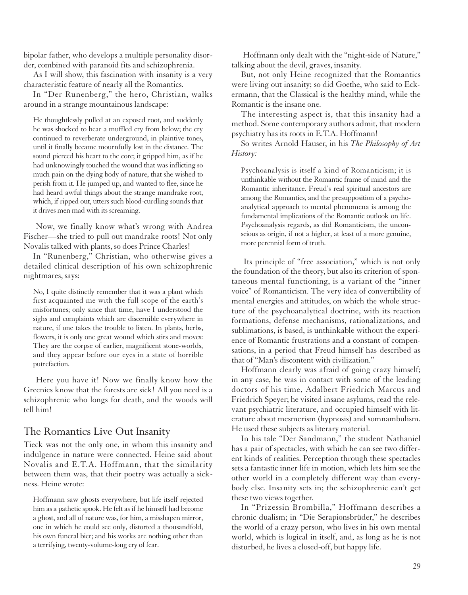bipolar father, who develops a multiple personality disorder, combined with paranoid fits and schizophrenia.

As I will show, this fascination with insanity is a very characteristic feature of nearly all the Romantics.

In "Der Runenberg," the hero, Christian, walks around in a strange mountainous landscape:

He thoughtlessly pulled at an exposed root, and suddenly he was shocked to hear a muffled cry from below; the cry continued to reverberate underground, in plaintive tones, until it finally became mournfully lost in the distance. The sound pierced his heart to the core; it gripped him, as if he had unknowingly touched the wound that was inflicting so much pain on the dying body of nature, that she wished to perish from it. He jumped up, and wanted to flee, since he had heard awful things about the strange mandrake root, which, if ripped out, utters such blood-curdling sounds that it drives men mad with its screaming.

Now, we finally know what's wrong with Andrea Fischer—she tried to pull out mandrake roots! Not only Novalis talked with plants, so does Prince Charles!

In "Runenberg," Christian, who otherwise gives a detailed clinical description of his own schizophrenic nightmares, says:

No, I quite distinctly remember that it was a plant which first acquainted me with the full scope of the earth's misfortunes; only since that time, have I understood the sighs and complaints which are discernible everywhere in nature, if one takes the trouble to listen. In plants, herbs, flowers, it is only one great wound which stirs and moves: They are the corpse of earlier, magnificent stone-worlds, and they appear before our eyes in a state of horrible putrefaction.

Here you have it! Now we finally know how the Greenies know that the forests are sick! All you need is a schizophrenic who longs for death, and the woods will tell him!

#### The Romantics Live Out Insanity

Tieck was not the only one, in whom this insanity and indulgence in nature were connected. Heine said about Novalis and E.T.A. Hoffmann, that the similarity between them was, that their poetry was actually a sickness. Heine wrote:

Hoffmann saw ghosts everywhere, but life itself rejected him as a pathetic spook. He felt as if he himself had become a ghost, and all of nature was, for him, a misshapen mirror, one in which he could see only, distorted a thousandfold, his own funeral bier; and his works are nothing other than a terrifying, twenty-volume-long cry of fear.

Hoffmann only dealt with the "night-side of Nature," talking about the devil, graves, insanity.

But, not only Heine recognized that the Romantics were living out insanity; so did Goethe, who said to Eckermann, that the Classical is the healthy mind, while the Romantic is the insane one.

The interesting aspect is, that this insanity had a method. Some contemporary authors admit, that modern psychiatry has its roots in E.T.A. Hoffmann!

So writes Arnold Hauser, in his *The Philosophy of Art History:*

Psychoanalysis is itself a kind of Romanticism; it is unthinkable without the Romantic frame of mind and the Romantic inheritance. Freud's real spiritual ancestors are among the Romantics, and the presupposition of a psychoanalytical approach to mental phenomena is among the fundamental implications of the Romantic outlook on life. Psychoanalysis regards, as did Romanticism, the unconscious as origin, if not a higher, at least of a more genuine, more perennial form of truth.

Its principle of "free association," which is not only the foundation of the theory, but also its criterion of spontaneous mental functioning, is a variant of the "inner voice" of Romanticism. The very idea of convertibility of mental energies and attitudes, on which the whole structure of the psychoanalytical doctrine, with its reaction formations, defense mechanisms, rationalizations, and sublimations, is based, is unthinkable without the experience of Romantic frustrations and a constant of compensations, in a period that Freud himself has described as that of "Man's discontent with civilization."

Hoffmann clearly was afraid of going crazy himself; in any case, he was in contact with some of the leading doctors of his time, Adalbert Friedrich Marcus and Friedrich Speyer; he visited insane asylums, read the relevant psychiatric literature, and occupied himself with literature about mesmerism (hypnosis) and somnambulism. He used these subjects as literary material.

In his tale "Der Sandmann," the student Nathaniel has a pair of spectacles, with which he can see two different kinds of realities. Perception through these spectacles sets a fantastic inner life in motion, which lets him see the other world in a completely different way than everybody else. Insanity sets in; the schizophrenic can't get these two views together.

In "Prizessin Brombilla," Hoffmann describes a chronic dualism; in "Die Serapionsbrüder," he describes the world of a crazy person, who lives in his own mental world, which is logical in itself, and, as long as he is not disturbed, he lives a closed-off, but happy life.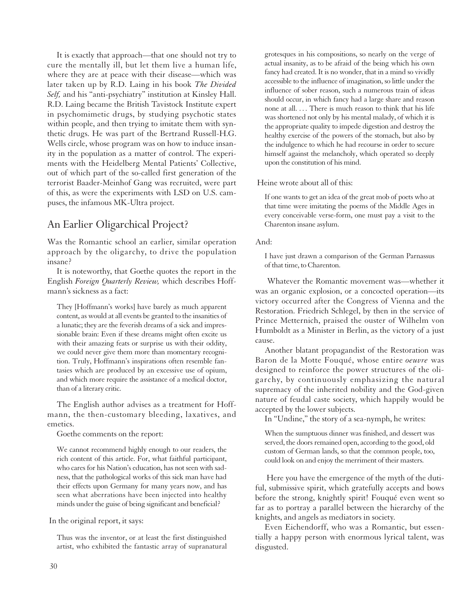It is exactly that approach—that one should not try to cure the mentally ill, but let them live a human life, where they are at peace with their disease—which was later taken up by R.D. Laing in his book *The Divided Self,* and his "anti-psychiatry" institution at Kinsley Hall. R.D. Laing became the British Tavistock Institute expert in psychomimetic drugs, by studying psychotic states within people, and then trying to imitate them with synthetic drugs. He was part of the Bertrand Russell-H.G. Wells circle, whose program was on how to induce insanity in the population as a matter of control. The experiments with the Heidelberg Mental Patients' Collective, out of which part of the so-called first generation of the terrorist Baader-Meinhof Gang was recruited, were part of this, as were the experiments with LSD on U.S. campuses, the infamous MK-Ultra project.

### An Earlier Oligarchical Project?

Was the Romantic school an earlier, similar operation approach by the oligarchy, to drive the population insane?

It is noteworthy, that Goethe quotes the report in the English *Foreign Quarterly Review,* which describes Hoffmann's sickness as a fact:

They [Hoffmann's works] have barely as much apparent content, as would at all events be granted to the insanities of a lunatic; they are the feverish dreams of a sick and impressionable brain: Even if these dreams might often excite us with their amazing feats or surprise us with their oddity, we could never give them more than momentary recognition. Truly, Hoffmann's inspirations often resemble fantasies which are produced by an excessive use of opium, and which more require the assistance of a medical doctor, than of a literary critic.

The English author advises as a treatment for Hoffmann, the then-customary bleeding, laxatives, and emetics.

Goethe comments on the report:

We cannot recommend highly enough to our readers, the rich content of this article. For, what faithful participant, who cares for his Nation's education, has not seen with sadness, that the pathological works of this sick man have had their effects upon Germany for many years now, and has seen what aberrations have been injected into healthy minds under the guise of being significant and beneficial?

In the original report, it says:

Thus was the inventor, or at least the first distinguished artist, who exhibited the fantastic array of supranatural grotesques in his compositions, so nearly on the verge of actual insanity, as to be afraid of the being which his own fancy had created. It is no wonder, that in a mind so vividly accessible to the influence of imagination, so little under the influence of sober reason, such a numerous train of ideas should occur, in which fancy had a large share and reason none at all. . . . There is much reason to think that his life was shortened not only by his mental malady, of which it is the appropriate quality to impede digestion and destroy the healthy exercise of the powers of the stomach, but also by the indulgence to which he had recourse in order to secure himself against the melancholy, which operated so deeply upon the constitution of his mind.

Heine wrote about all of this:

If one wants to get an idea of the great mob of poets who at that time were imitating the poems of the Middle Ages in every conceivable verse-form, one must pay a visit to the Charenton insane asylum.

And:

I have just drawn a comparison of the German Parnassus of that time, to Charenton.

Whatever the Romantic movement was—whether it was an organic explosion, or a concocted operation—its victory occurred after the Congress of Vienna and the Restoration. Friedrich Schlegel, by then in the service of Prince Metternich, praised the ouster of Wilhelm von Humboldt as a Minister in Berlin, as the victory of a just cause.

Another blatant propagandist of the Restoration was Baron de la Motte Fouqué, whose entire *oeuvre* was designed to reinforce the power structures of the oligarchy, by continuously emphasizing the natural supremacy of the inherited nobility and the God-given nature of feudal caste society, which happily would be accepted by the lower subjects.

In "Undine," the story of a sea-nymph, he writes:

When the sumptuous dinner was finished, and dessert was served, the doors remained open, according to the good, old custom of German lands, so that the common people, too, could look on and enjoy the merriment of their masters.

Here you have the emergence of the myth of the dutiful, submissive spirit, which gratefully accepts and bows before the strong, knightly spirit! Fouqué even went so far as to portray a parallel between the hierarchy of the knights, and angels as mediators in society.

Even Eichendorff, who was a Romantic, but essentially a happy person with enormous lyrical talent, was disgusted.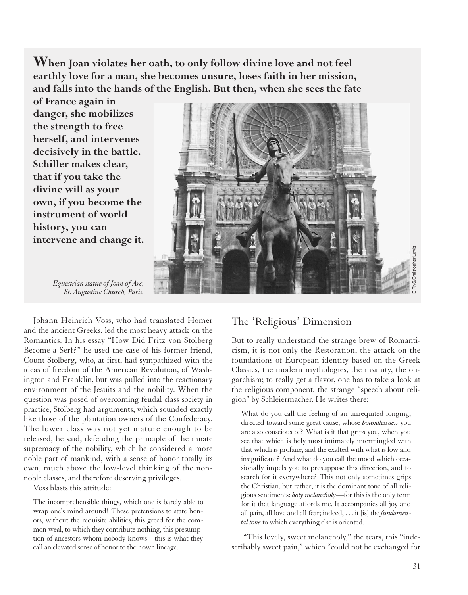**When Joan violates her oath, to only follow divine love and not feel earthly love for a man, she becomes unsure, loses faith in her mission, and falls into the hands of the English. But then, when she sees the fate**

**of France again in danger, she mobilizes the strength to free herself, and intervenes decisively in the battle. Schiller makes clear, that if you take the divine will as your own, if you become the instrument of world history, you can intervene and change it.**



*Equestrian statue of Joan of Arc, St. Augustine Church, Paris.*

Johann Heinrich Voss, who had translated Homer and the ancient Greeks, led the most heavy attack on the Romantics. In his essay "How Did Fritz von Stolberg Become a Serf?" he used the case of his former friend, Count Stolberg, who, at first, had sympathized with the ideas of freedom of the American Revolution, of Washington and Franklin, but was pulled into the reactionary environment of the Jesuits and the nobility. When the question was posed of overcoming feudal class society in practice, Stolberg had arguments, which sounded exactly like those of the plantation owners of the Confederacy. The lower class was not yet mature enough to be released, he said, defending the principle of the innate supremacy of the nobility, which he considered a more noble part of mankind, with a sense of honor totally its own, much above the low-level thinking of the nonnoble classes, and therefore deserving privileges.

Voss blasts this attitude:

The incomprehensible things, which one is barely able to wrap one's mind around! These pretensions to state honors, without the requisite abilities, this greed for the common weal, to which they contribute nothing, this presumption of ancestors whom nobody knows—this is what they call an elevated sense of honor to their own lineage.

# The 'Religious' Dimension

But to really understand the strange brew of Romanticism, it is not only the Restoration, the attack on the foundations of European identity based on the Greek Classics, the modern mythologies, the insanity, the oligarchism; to really get a flavor, one has to take a look at the religious component, the strange "speech about religion" by Schleiermacher. He writes there:

What do you call the feeling of an unrequited longing, directed toward some great cause, whose *boundlessness* you are also conscious of? What is it that grips you, when you see that which is holy most intimately intermingled with that which is profane, and the exalted with what is low and insignificant? And what do you call the mood which occasionally impels you to presuppose this direction, and to search for it everywhere? This not only sometimes grips the Christian, but rather, it is the dominant tone of all religious sentiments: *holy melancholy*—for this is the only term for it that language affords me. It accompanies all joy and all pain, all love and all fear; indeed, . . . it [is] the *fundamen*tal tone to which everything else is oriented.

"This lovely, sweet melancholy," the tears, this "indescribably sweet pain," which "could not be exchanged for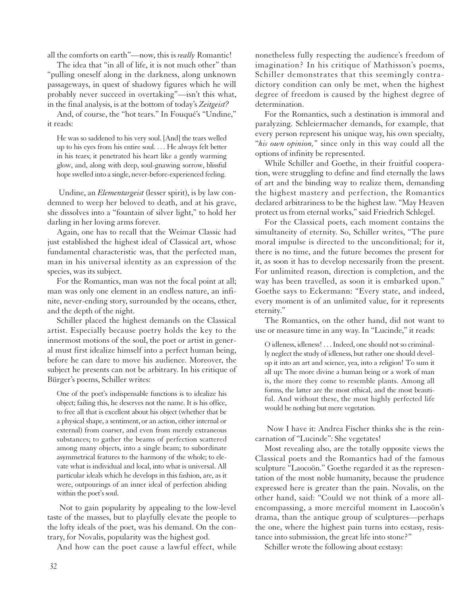all the comforts on earth"—now, this is *really* Romantic!

The idea that "in all of life, it is not much other" than "pulling oneself along in the darkness, along unknown passageways, in quest of shadowy figures which he will probably never succeed in overtaking"—isn't this what, in the final analysis, is at the bottom of today's *Zeitgeist?*

And, of course, the "hot tears." In Fouqué's "Undine," it reads:

He was so saddened to his very soul. [And] the tears welled up to his eyes from his entire soul. . . . He always felt better in his tears; it penetrated his heart like a gently warming glow, and, along with deep, soul-gnawing sorrow, blissful hope swelled into a single, never-before-experienced feeling.

Undine, an *Elementargeist* (lesser spirit), is by law condemned to weep her beloved to death, and at his grave, she dissolves into a "fountain of silver light," to hold her darling in her loving arms forever.

Again, one has to recall that the Weimar Classic had just established the highest ideal of Classical art, whose fundamental characteristic was, that the perfected man, man in his universal identity as an expression of the species, was its subject.

For the Romantics, man was not the focal point at all; man was only one element in an endless nature, an infinite, never-ending story, surrounded by the oceans, ether, and the depth of the night.

Schiller placed the highest demands on the Classical artist. Especially because poetry holds the key to the innermost motions of the soul, the poet or artist in general must first idealize himself into a perfect human being, before he can dare to move his audience. Moreover, the subject he presents can not be arbitrary. In his critique of Bürger's poems, Schiller writes:

One of the poet's indispensable functions is to idealize his object; failing this, he deserves not the name. It is his office, to free all that is excellent about his object (whether that be a physical shape, a sentiment, or an action, either internal or external) from coarser, and even from merely extraneous substances; to gather the beams of perfection scattered among many objects, into a single beam; to subordinate asymmetrical features to the harmony of the whole; to elevate what is individual and local, into what is universal. All particular ideals which he develops in this fashion, are, as it were, outpourings of an inner ideal of perfection abiding within the poet's soul.

Not to gain popularity by appealing to the low-level taste of the masses, but to playfully elevate the people to the lofty ideals of the poet, was his demand. On the contrary, for Novalis, popularity was the highest god.

And how can the poet cause a lawful effect, while

nonetheless fully respecting the audience's freedom of imagination? In his critique of Mathisson's poems, Schiller demonstrates that this seemingly contradictory condition can only be met, when the highest degree of freedom is caused by the highest degree of determination.

For the Romantics, such a destination is immoral and paralyzing. Schleiermacher demands, for example, that every person represent his unique way, his own specialty, "*his own opinion,*" since only in this way could all the options of infinity be represented.

While Schiller and Goethe, in their fruitful cooperation, were struggling to define and find eternally the laws of art and the binding way to realize them, demanding the highest mastery and perfection, the Romantics declared arbitrariness to be the highest law. "May Heaven protect us from eternal works," said Friedrich Schlegel.

For the Classical poets, each moment contains the simultaneity of eternity. So, Schiller writes, "The pure moral impulse is directed to the unconditional; for it, there is no time, and the future becomes the present for it, as soon it has to develop necessarily from the present. For unlimited reason, direction is completion, and the way has been travelled, as soon it is embarked upon." Goethe says to Eckermann: "Every state, and indeed, every moment is of an unlimited value, for it represents eternity."

The Romantics, on the other hand, did not want to use or measure time in any way. In "Lucinde," it reads:

O idleness, idleness! . . . Indeed, one should not so criminally neglect the study of idleness, but rather one should develop it into an art and science, yea, into a religion! To sum it all up: The more divine a human being or a work of man is, the more they come to resemble plants. Among all forms, the latter are the most ethical, and the most beautiful. And without these, the most highly perfected life would be nothing but mere vegetation.

Now I have it: Andrea Fischer thinks she is the reincarnation of "Lucinde": She vegetates!

Most revealing also, are the totally opposite views the Classical poets and the Romantics had of the famous sculpture "Laocoön." Goethe regarded it as the representation of the most noble humanity, because the prudence expressed here is greater than the pain. Novalis, on the other hand, said: "Could we not think of a more allencompassing, a more merciful moment in Laocoön's drama, than the antique group of sculptures—perhaps the one, where the highest pain turns into ecstasy, resistance into submission, the great life into stone?"

Schiller wrote the following about ecstasy: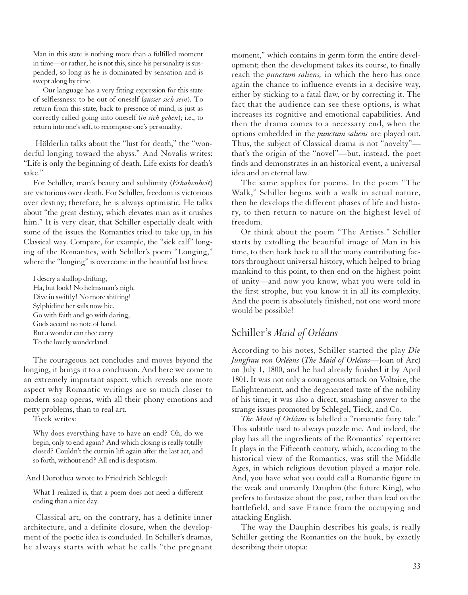Man in this state is nothing more than a fulfilled moment in time—or rather, he is not this, since his personality is suspended, so long as he is dominated by sensation and is swept along by time.

Our language has a very fitting expression for this state of selflessness: to be out of oneself (*ausser sich sein*). To return from this state, back to presence of mind, is just as correctly called going into oneself (*in sich gehen*); i.e., to return into one's self, to recompose one's personality.

Hölderlin talks about the "lust for death," the "wonderful longing toward the abyss." And Novalis writes: "Life is only the beginning of death. Life exists for death's sake."

For Schiller, man's beauty and sublimity (*Erhabenheit*) are victorious over death. For Schiller, freedom is victorious over destiny; therefore, he is always optimistic. He talks about "the great destiny, which elevates man as it crushes him." It is very clear, that Schiller especially dealt with some of the issues the Romantics tried to take up, in his Classical way. Compare, for example, the "sick calf" longing of the Romantics, with Schiller's poem "Longing," where the "longing" is overcome in the beautiful last lines:

I descry a shallop drifting, Ha, but look! No helmsman's nigh. Dive in swiftly! No more shifting! Sylphidine her sails now hie. Go with faith and go with daring, Gods accord no note of hand. But a wonder can thee carry To the lovely wonderland.

The courageous act concludes and moves beyond the longing, it brings it to a conclusion. And here we come to an extremely important aspect, which reveals one more aspect why Romantic writings are so much closer to modern soap operas, with all their phony emotions and petty problems, than to real art.

Tieck writes:

Why does everything have to have an end? Oh, do we begin, only to end again? And which closing is really totally closed? Couldn't the curtain lift again after the last act, and so forth, without end? All end is despotism.

And Dorothea wrote to Friedrich Schlegel:

What I realized is, that a poem does not need a different ending than a nice day.

Classical art, on the contrary, has a definite inner architecture, and a definite closure, when the development of the poetic idea is concluded. In Schiller's dramas, he always starts with what he calls "the pregnant moment," which contains in germ form the entire development; then the development takes its course, to finally reach the *punctum saliens,* in which the hero has once again the chance to influence events in a decisive way, either by sticking to a fatal flaw, or by correcting it. The fact that the audience can see these options, is what increases its cognitive and emotional capabilities. And then the drama comes to a necessary end, when the options embedded in the *punctum saliens* are played out. Thus, the subject of Classical drama is not "novelty" that's the origin of the "novel"—but, instead, the poet finds and demonstrates in an historical event, a universal idea and an eternal law.

The same applies for poems. In the poem "The Walk," Schiller begins with a walk in actual nature, then he develops the different phases of life and history, to then return to nature on the highest level of freedom.

Or think about the poem "The Artists." Schiller starts by extolling the beautiful image of Man in his time, to then hark back to all the many contributing factors throughout universal history, which helped to bring mankind to this point, to then end on the highest point of unity—and now you know, what you were told in the first strophe, but you know it in all its complexity. And the poem is absolutely finished, not one word more would be possible!

#### Schiller's *Maid of Orléans*

According to his notes, Schiller started the play *Die Jungfrau von Orléans* (*The Maid of Orléans*—Joan of Arc) on July 1, 1800, and he had already finished it by April 1801. It was not only a courageous attack on Voltaire, the Enlightenment, and the degenerated taste of the nobility of his time; it was also a direct, smashing answer to the strange issues promoted by Schlegel, Tieck, and Co.

*The Maid of Orléans* is labelled a "romantic fairy tale." This subtitle used to always puzzle me. And indeed, the play has all the ingredients of the Romantics' repertoire: It plays in the Fifteenth century, which, according to the historical view of the Romantics, was still the Middle Ages, in which religious devotion played a major role. And, you have what you could call a Romantic figure in the weak and unmanly Dauphin (the future King), who prefers to fantasize about the past, rather than lead on the battlefield, and save France from the occupying and attacking English.

The way the Dauphin describes his goals, is really Schiller getting the Romantics on the hook, by exactly describing their utopia: